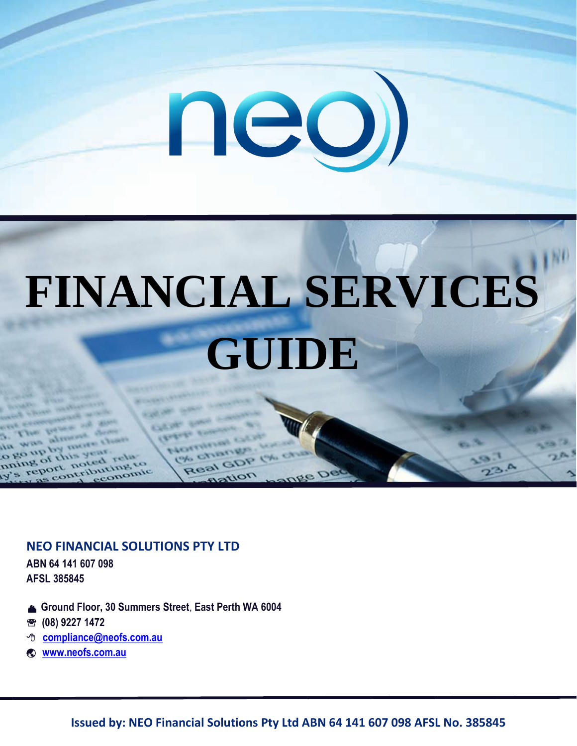

# **FINANCIAL SERVICES GUIDE**

# **NEO FINANCIAL SOLUTIONS PTY LTD**

**ABN 64 141 607 098 AFSL 385845**

- **Ground Floor, 30 Summers Street**, **East Perth WA 6004**
- **(08) 9227 1472**
- **[compliance@neofs.com.au](mailto:compliance@neofs.com.au)**
- **[www.neofs.com.au](http://www.neofs.com.au/)**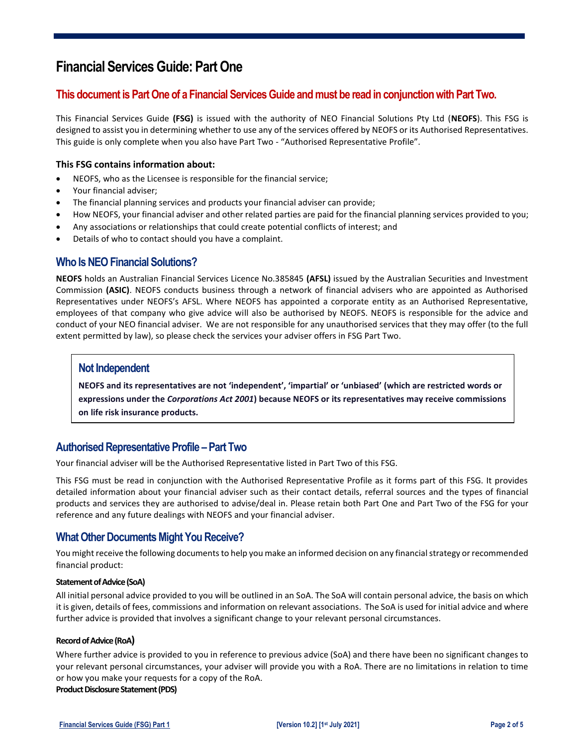# **Financial Services Guide: Part One**

# **This document is Part One of a Financial Services Guide andmust be read in conjunction with Part Two.**

This Financial Services Guide **(FSG)** is issued with the authority of NEO Financial Solutions Pty Ltd (**NEOFS**). This FSG is designed to assist you in determining whether to use any of the services offered by NEOFS or its Authorised Representatives. This guide is only complete when you also have Part Two - "Authorised Representative Profile".

#### **This FSG contains information about:**

- NEOFS, who as the Licensee is responsible for the financial service;
- Your financial adviser;
- The financial planning services and products your financial adviser can provide;
- How NEOFS, your financial adviser and other related parties are paid for the financial planning services provided to you;
- Any associations or relationships that could create potential conflicts of interest; and
- Details of who to contact should you have a complaint.

### **Who Is NEO Financial Solutions?**

**NEOFS** holds an Australian Financial Services Licence No.385845 **(AFSL)** issued by the Australian Securities and Investment Commission **(ASIC)**. NEOFS conducts business through a network of financial advisers who are appointed as Authorised Representatives under NEOFS's AFSL. Where NEOFS has appointed a corporate entity as an Authorised Representative, employees of that company who give advice will also be authorised by NEOFS. NEOFS is responsible for the advice and conduct of your NEO financial adviser. We are not responsible for any unauthorised services that they may offer (to the full extent permitted by law), so please check the services your adviser offers in FSG Part Two.

#### **Not Independent**

**NEOFS and its representatives are not**  $Z \cup V$ (which are cestricted woTr**d**s\or ]| **expressions under the** Corporations Act 2001 **) because NEOFS or its representatives may receive commissions on life risk insurance products.** 

# **Authorised Representative Profile –Part Two**

Your financial adviser will be the Authorised Representative listed in Part Two of this FSG.

This FSG must be read in conjunction with the Authorised Representative Profile as it forms part of this FSG. It provides detailed information about your financial adviser such as their contact details, referral sources and the types of financial products and services they are authorised to advise/deal in. Please retain both Part One and Part Two of the FSG for your reference and any future dealings with NEOFS and your financial adviser.

#### **What Other Documents Might You Receive?**

You might receive the following documents to help you make an informed decision on any financial strategy or recommended financial product:

#### **Statement of Advice (SoA)**

All initial personal advice provided to you will be outlined in an SoA. The SoA will contain personal advice, the basis on which it is given, details of fees, commissions and information on relevant associations. The SoA is used for initial advice and where further advice is provided that involves a significant change to your relevant personal circumstances.

#### **Record of Advice (RoA)**

Where further advice is provided to you in reference to previous advice (SoA) and there have been no significant changes to your relevant personal circumstances, your adviser will provide you with a RoA. There are no limitations in relation to time or how you make your requests for a copy of the RoA.

#### **Product Disclosure Statement (PDS)**